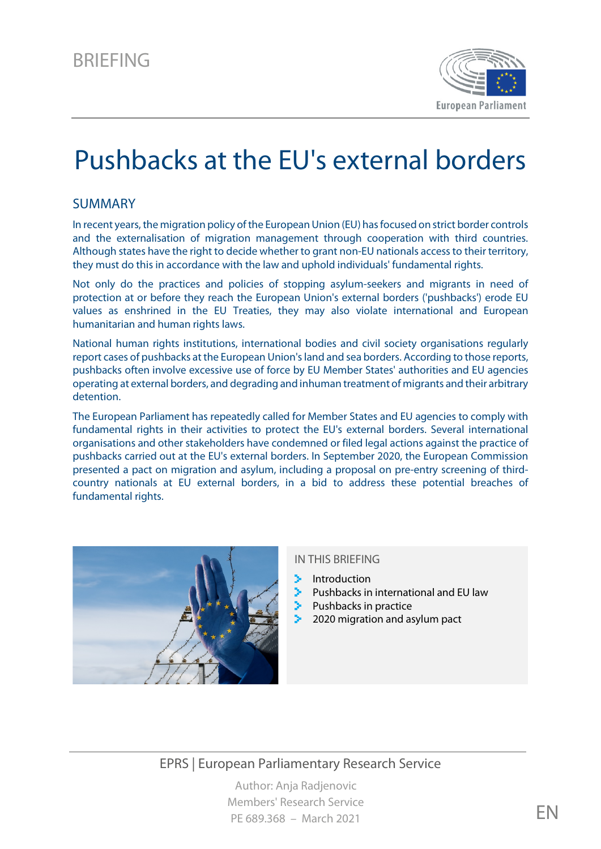

# Pushbacks at the EU's external borders

#### SUMMARY

In recent years, the migration policy of the European Union (EU) has focused on strict border controls and the externalisation of migration management through cooperation with third countries. Although states have the right to decide whether to grant non-EU nationals access to their territory, they must do this in accordance with the law and uphold individuals' fundamental rights.

Not only do the practices and policies of stopping asylum-seekers and migrants in need of protection at or before they reach the European Union's external borders ('pushbacks') erode EU values as enshrined in the EU Treaties, they may also violate international and European humanitarian and human rights laws.

National human rights institutions, international bodies and civil society organisations regularly report cases of pushbacks at the European Union's land and sea borders. According to those reports, pushbacks often involve excessive use of force by EU Member States' authorities and EU agencies operating at external borders, and degrading and inhuman treatment of migrants and their arbitrary detention.

The European Parliament has repeatedly called for Member States and EU agencies to comply with fundamental rights in their activities to protect the EU's external borders. Several international organisations and other stakeholders have condemned or filed legal actions against the practice of pushbacks carried out at the EU's external borders. In September 2020, the European Commission presented a pact on migration and asylum, including a proposal on pre-entry screening of thirdcountry nationals at EU external borders, in a bid to address these potential breaches of fundamental rights.



#### IN THIS BRIEFING

- Introduction
- Pushbacks in international and EU law
- Pushbacks in practice
- 2020 migration and asylum pact

## EPRS | European Parliamentary Research Service

Author: Anja Radjenovic Members' Research Service PE 689.368 – March 2021 EN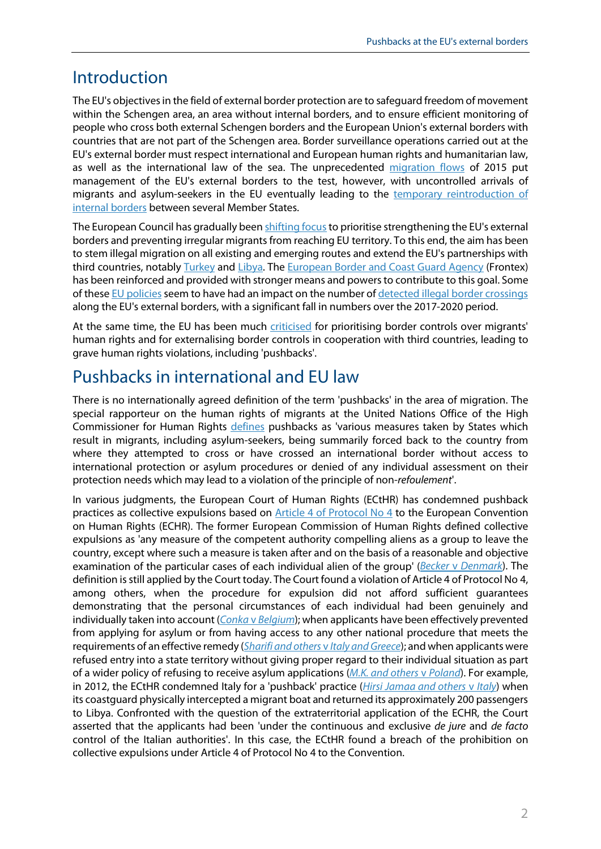# Introduction

The EU's objectives in the field of external border protection are to safeguard freedom of movement within the Schengen area, an area without internal borders, and to ensure efficient monitoring of people who cross both external Schengen borders and the European Union's external borders with countries that are not part of the Schengen area. Border surveillance operations carried out at the EU's external border must respect international and European human rights and humanitarian law, as well as the international law of the sea. The unprecedented [migration flows](https://www.europarl.europa.eu/RegData/etudes/BRIE/2020/649329/EPRS_BRI(2020)649329_EN.pdf) of 2015 put management of the EU's external borders to the test, however, with uncontrolled arrivals of migrants and asylum-seekers in the EU eventually leading to the [temporary reintroduction of](https://ec.europa.eu/home-affairs/what-we-do/policies/borders-and-visas/schengen/reintroduction-border-control_en)  [internal borders](https://ec.europa.eu/home-affairs/what-we-do/policies/borders-and-visas/schengen/reintroduction-border-control_en) between several Member States.

The European Council has gradually been shifting focus to prioritise strengthening the EU's external borders and preventing irregular migrants from reaching EU territory. To this end, the aim has been to stem illegal migration on all existing and emerging routes and extend the EU's partnerships with third countries, notably [Turkey](https://www.europarl.europa.eu/legislative-train/theme-towards-a-new-policy-on-migration/file-eu-turkey-statement-action-plan) and [Libya.](https://ec.europa.eu/neighbourhood-enlargement/sites/near/files/eutf-noa-libya.pdf) The [European Border and Coast Guard Agency](https://eur-lex.europa.eu/legal-content/EN/TXT/?uri=CELEX%3A32019R1896) (Frontex) has been reinforced and provided with stronger means and powers to contribute to this goal. Some of these [EU policies](https://www.europarl.europa.eu/RegData/etudes/BRIE/2018/630316/EPRS_BRI(2018)630316_EN.pdf) seem to have had an impact on the number o[f detected illegal border crossings](https://ec.europa.eu/info/strategy/priorities-2019-2024/promoting-our-european-way-life/statistics-migration-europe_en#illegalbordercrossings) along the EU's external borders, with a significant fall in numbers over the 2017-2020 period.

At the same time, the EU has been much [criticised](https://www.europarl.europa.eu/RegData/etudes/IDAN/2020/603512/EXPO_IDA(2020)603512_EN.pdf) for prioritising border controls over migrants' human rights and for externalising border controls in cooperation with third countries, leading to grave human rights violations, including 'pushbacks'.

# Pushbacks in international and EU law

There is no internationally agreed definition of the term 'pushbacks' in the area of migration. The special rapporteur on the human rights of migrants at the United Nations Office of the High Commissioner for Human Rights [defines](https://www.ohchr.org/EN/Issues/Migration/SRMigrants/Pages/Pushback-practices.aspx) pushbacks as 'various measures taken by States which result in migrants, including asylum-seekers, being summarily forced back to the country from where they attempted to cross or have crossed an international border without access to international protection or asylum procedures or denied of any individual assessment on their protection needs which may lead to a violation of the principle of non-*refoulement*'.

In various judgments, the European Court of Human Rights (ECtHR) has condemned pushback practices as collective expulsions based on [Article 4 of Protocol No 4](https://www.echr.coe.int/Documents/Library_Collection_P4postP11_ETS046E_ENG.pdf) to the European Convention on Human Rights (ECHR). The former European Commission of Human Rights defined collective expulsions as 'any measure of the competent authority compelling aliens as a group to leave the country, except where such a measure is taken after and on the basis of a reasonable and objective examination of the particular cases of each individual alien of the group' (*Becker* v *[Denmark](https://hudoc.echr.coe.int/eng#%7B%22appno%22:%5B%227011/75%22%5D%7D)*). The definition is still applied by the Court today. The Court found a violation of Article 4 of Protocol No 4, among others, when the procedure for expulsion did not afford sufficient guarantees demonstrating that the personal circumstances of each individual had been genuinely and individually taken into account (*Conka* v *[Belgium](https://hudoc.echr.coe.int/eng#%7B%22itemid%22:%5B%22001-60026%22%5D%7D)*); when applicants have been effectively prevented from applying for asylum or from having access to any other national procedure that meets the requirements of an effective remedy (*[Sharifi and others](https://hudoc.echr.coe.int/eng#%7B%22itemid%22:%5B%22001-147287%22%5D%7D)* v *Italy and Greece*); and when applicants were refused entry into a state territory without giving proper regard to their individual situation as part of a wider policy of refusing to receive asylum applications (*[M.K. and others](https://hudoc.echr.coe.int/eng#%7B%22fulltext%22:%5B%22M.K.%20and%20others%20v%20poland%22%5D,%22documentcollectionid2%22:%5B%22GRANDCHAMBER%22,%22CHAMBER%22%5D,%22itemid%22:%5B%22001-203840%22%5D%7D)* v *Poland*). For example, in 2012, the ECtHR condemned Italy for a 'pushback' practice (*[Hirsi Jamaa and others](https://hudoc.echr.coe.int/eng#%7B%22fulltext%22:%5B%22hirsi%22%5D,%22documentcollectionid2%22:%5B%22GRANDCHAMBER%22%5D,%22itemid%22:%5B%22001-109231%22%5D%7D)* v *Italy*) when its coastguard physically intercepted a migrant boat and returned its approximately 200 passengers to Libya. Confronted with the question of the extraterritorial application of the ECHR, the Court asserted that the applicants had been 'under the continuous and exclusive *de jure* and *de facto* control of the Italian authorities'. In this case, the ECtHR found a breach of the prohibition on collective expulsions under Article 4 of Protocol No 4 to the Convention.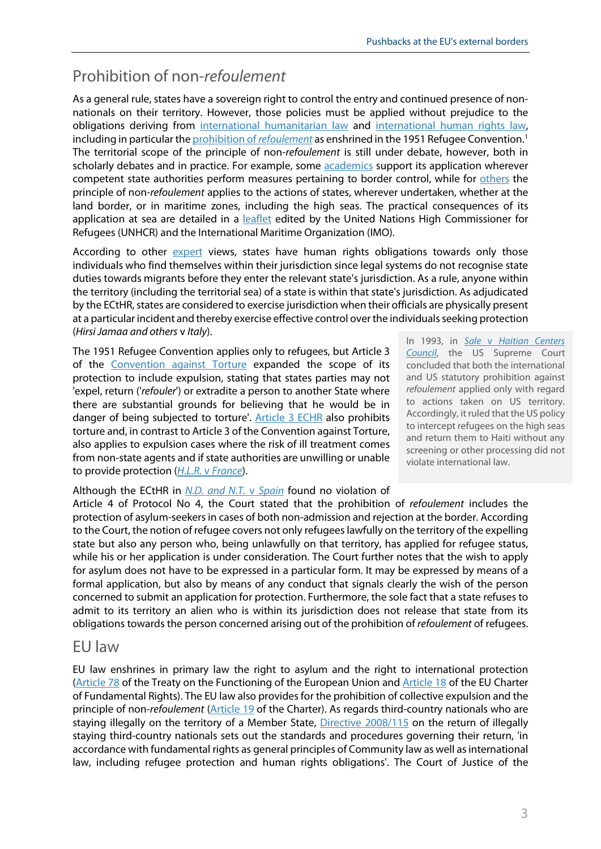# Prohibition of non-*refoulement*

As a general rule, states have a sovereign right to control the entry and continued presence of nonnationals on their territory. However, those policies must be applied without prejudice to the obligations deriving from [international humanitarian law](https://ijrcenter.org/international-humanitarian-law/) and [international human rights law,](https://www.ohchr.org/EN/ProfessionalInterest/Pages/InternationalLaw.aspx) including in particular th[e prohibition of](https://www.ohchr.org/Documents/Issues/Migration/GlobalCompactMigration/ThePrincipleNon-RefoulementUnderInternationalHumanRightsLaw.pdf) *[refoulement](https://www.ohchr.org/Documents/Issues/Migration/GlobalCompactMigration/ThePrincipleNon-RefoulementUnderInternationalHumanRightsLaw.pdf)* as enshrined in the 1951 Refugee Convention. [1](#page-7-0) The territorial scope of the principle of non-*refoulement* is still under debate, however, both in scholarly debates and in practice. For example, some **academics** support its application wherever competent state authorities perform measures pertaining to border control, while for [others](https://academic.oup.com/ijrl/article/23/3/443/1518677) the principle of non-*refoulement* applies to the actions of states, wherever undertaken, whether at the land border, or in maritime zones, including the high seas. The practical consequences of its application at sea are detailed in a [leaflet](https://www.unhcr.org/publications/brochures/450037d34/rescue-sea-guide-principles-practice-applied-migrants-refugees.html) edited by the United Nations High Commissioner for Refugees (UNHCR) and the International Maritime Organization (IMO).

According to other [expert](https://eumigrationlawblog.eu/in-search-of-a-safe-harbour-for-the-aquarius-the-troubled-waters-of-international-and-eu-law/) views, states have human rights obligations towards only those individuals who find themselves within their jurisdiction since legal systems do not recognise state duties towards migrants before they enter the relevant state's jurisdiction. As a rule, anyone within the territory (including the territorial sea) of a state is within that state's jurisdiction. As adjudicated by the ECtHR, states are considered to exercise jurisdiction when their officials are physically present at a particular incident and thereby exercise effective control over the individuals seeking protection (*Hirsi Jamaa and others* v *Italy*).

The 1951 Refugee Convention applies only to refugees, but Article 3 of the [Convention against Torture](https://www.ohchr.org/en/professionalinterest/pages/cat.aspx) expanded the scope of its protection to include expulsion, stating that states parties may not 'expel, return ('*refouler*') or extradite a person to another State where there are substantial grounds for believing that he would be in danger of being subjected to torture'. [Article 3 ECHR](https://www.echr.coe.int/documents/convention_eng.pdf) also prohibits torture and, in contrast to Article 3 of the Convention against Torture, also applies to expulsion cases where the risk of ill treatment comes from non-state agents and if state authorities are unwilling or unable to provide protection (*H.L.R.* v *[France](https://hudoc.echr.coe.int/fre#%7B%22fulltext%22:%5B%22H.L.R.%22%5D,%22itemid%22:%5B%22001-58041%22%5D%7D)*).

Although the ECtHR in *[N.D. and N.T.](https://hudoc.echr.coe.int/spa#%7B%22itemid%22:%5B%22001-201353%22%5D%7D)* v *Spain* found no violation of Article 4 of Protocol No 4, the Court stated that the prohibition of *refoulement* includes the protection of asylum-seekers in cases of both non-admission and rejection at the border. According to the Court, the notion of refugee covers not only refugees lawfully on the territory of the expelling state but also any person who, being unlawfully on that territory, has applied for refugee status, while his or her application is under consideration. The Court further notes that the wish to apply for asylum does not have to be expressed in a particular form. It may be expressed by means of a formal application, but also by means of any conduct that signals clearly the wish of the person concerned to submit an application for protection. Furthermore, the sole fact that a state refuses to admit to its territory an alien who is within its jurisdiction does not release that state from its obligations towards the person concerned arising out of the prohibition of *refoulement* of refugees.

#### EU law

EU law enshrines in primary law the right to asylum and the right to international protection [\(Article](https://eur-lex.europa.eu/legal-content/EN/TXT/?uri=CELEX%3A12008E078) 78 of the Treaty on the Functioning of the European Union and [Article 18](https://eur-lex.europa.eu/legal-content/EN/TXT/?uri=CELEX%3A12012P%2FTXT) of the EU Charter of Fundamental Rights). The EU law also provides for the prohibition of collective expulsion and the principle of non-*refoulement* [\(Article 19](https://eur-lex.europa.eu/legal-content/EN/TXT/?uri=CELEX%3A12012P%2FTXT) of the Charter). As regards third-country nationals who are staying illegally on the territory of a Member State, [Directive 2008/115](https://eur-lex.europa.eu/legal-content/EN/ALL/?uri=celex%3A32008L0115) on the return of illegally staying third-country nationals sets out the standards and procedures governing their return, 'in accordance with fundamental rights as general principles of Community law as well as international law, including refugee protection and human rights obligations'. The Court of Justice of the

In 1993, in *Sale* v *[Haitian Centers](https://www.refworld.org/cases,USSCT,3ae6b7178.html)  [Council](https://www.refworld.org/cases,USSCT,3ae6b7178.html)*, the US Supreme Court concluded that both the international and US statutory prohibition against *refoulement* applied only with regard to actions taken on US territory. Accordingly, it ruled that the US policy to intercept refugees on the high seas and return them to Haiti without any screening or other processing did not violate international law.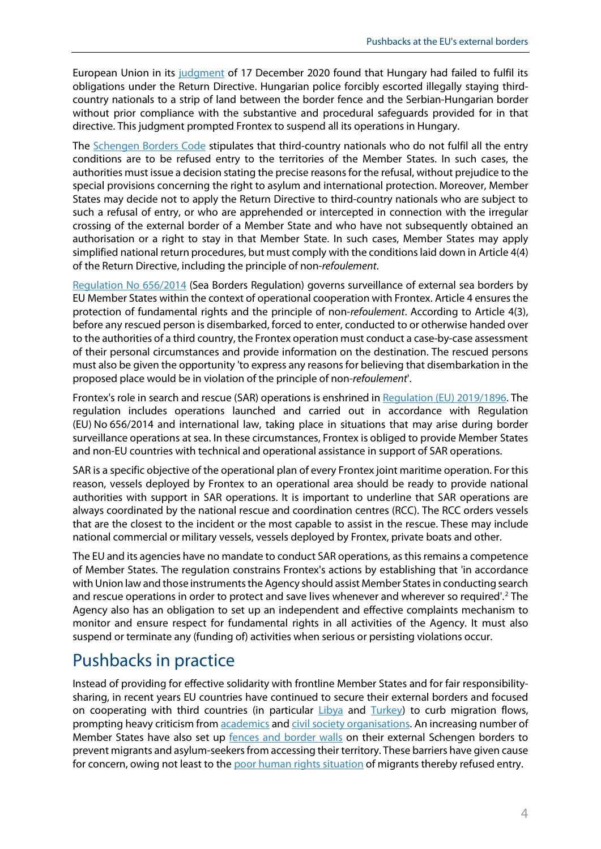European Union in its [judgment](http://curia.europa.eu/juris/document/document.jsf;jsessionid=0FA7FCE277265FF98F35C055D5A72686?text=&docid=235703&pageIndex=0&doclang=EN&mode=lst&dir=&occ=first&part=1&cid=566746) of 17 December 2020 found that Hungary had failed to fulfil its obligations under the Return Directive. Hungarian police forcibly escorted illegally staying thirdcountry nationals to a strip of land between the border fence and the Serbian-Hungarian border without prior compliance with the substantive and procedural safeguards provided for in that directive. This judgment prompted Frontex to suspend all its operations in Hungary.

The [Schengen Borders Code](https://eur-lex.europa.eu/legal-content/EN/TXT/?uri=celex%3A32016R0399) stipulates that third-country nationals who do not fulfil all the entry conditions are to be refused entry to the territories of the Member States. In such cases, the authorities must issue a decision stating the precise reasons for the refusal, without prejudice to the special provisions concerning the right to asylum and international protection. Moreover, Member States may decide not to apply the Return Directive to third-country nationals who are subject to such a refusal of entry, or who are apprehended or intercepted in connection with the irregular crossing of the external border of a Member State and who have not subsequently obtained an authorisation or a right to stay in that Member State. In such cases, Member States may apply simplified national return procedures, but must comply with the conditions laid down in Article 4(4) of the Return Directive, including the principle of non-*refoulement*.

[Regulation No 656/2014](https://eur-lex.europa.eu/legal-content/EN/TXT/?uri=CELEX%3A32014R0656) (Sea Borders Regulation) governs surveillance of external sea borders by EU Member States within the context of operational cooperation with Frontex. Article 4 ensures the protection of fundamental rights and the principle of non-*refoulement*. According to Article 4(3), before any rescued person is disembarked, forced to enter, conducted to or otherwise handed over to the authorities of a third country, the Frontex operation must conduct a case-by-case assessment of their personal circumstances and provide information on the destination. The rescued persons must also be given the opportunity 'to express any reasons for believing that disembarkation in the proposed place would be in violation of the principle of non-*refoulement*'.

Frontex's role in search and rescue (SAR) operations is enshrined in [Regulation \(EU\) 2019/1896.](https://eur-lex.europa.eu/legal-content/en/TXT/?uri=CELEX%3A32019R1896) The regulation includes operations launched and carried out in accordance with Regulation (EU) No 656/2014 and international law, taking place in situations that may arise during border surveillance operations at sea. In these circumstances, Frontex is obliged to provide Member States and non-EU countries with technical and operational assistance in support of SAR operations.

SAR is a specific objective of the operational plan of every Frontex joint maritime operation. For this reason, vessels deployed by Frontex to an operational area should be ready to provide national authorities with support in SAR operations. It is important to underline that SAR operations are always coordinated by the national rescue and coordination centres (RCC). The RCC orders vessels that are the closest to the incident or the most capable to assist in the rescue. These may include national commercial or military vessels, vessels deployed by Frontex, private boats and other.

The EU and its agencies have no mandate to conduct SAR operations, as this remains a competence of Member States. The regulation constrains Frontex's actions by establishing that 'in accordance with Union law and those instruments the Agency should assist Member States in conducting search and rescue operations in order to protect and save lives whenever and wherever so required'.<sup>[2](#page-7-1)</sup> The Agency also has an obligation to set up an independent and effective complaints mechanism to monitor and ensure respect for fundamental rights in all activities of the Agency. It must also suspend or terminate any (funding of) activities when serious or persisting violations occur.

# Pushbacks in practice

Instead of providing for effective solidarity with frontline Member States and for fair responsibilitysharing, in recent years EU countries have continued to secure their external borders and focused on cooperating with third countries (in particular  $Libya$  and  $Turkey$ ) to curb migration flows, prompting heavy criticism fro[m academics](https://www.law.ox.ac.uk/research-subject-groups/centre-criminology/centreborder-criminologies/blog/2018/04/pushing-0) and [civil society organisations.](https://reliefweb.int/report/world/euitalylibya-disputes-over-rescues-put-lives-risk) An increasing number of Member States have also set up [fences and border walls](https://reliefweb.int/map/world/border-fences-and-internal-border-controls-europe-march-2017) on their external Schengen borders to prevent migrants and asylum-seekers from accessing their territory. These barriers have given cause for concern, owing not least to th[e poor human rights situation](https://www.osce.org/odihr/396917?download=true) of migrants thereby refused entry.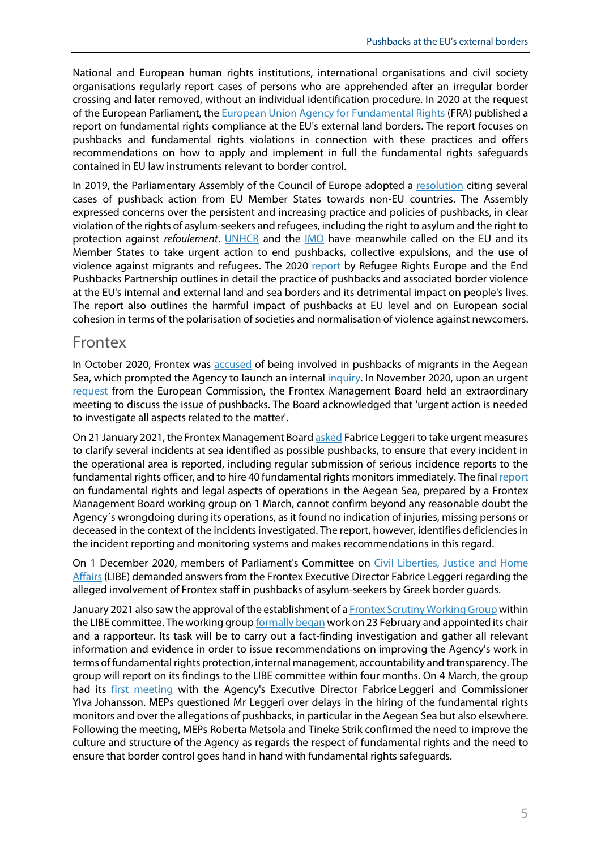National and European human rights institutions, international organisations and civil society organisations regularly report cases of persons who are apprehended after an irregular border crossing and later removed, without an individual identification procedure. In 2020 at the request of the European Parliament, th[e European Union Agency for Fundamental Rights](https://fra.europa.eu/sites/default/files/fra_uploads/fra-2020-land-borders-report_en.pdf) (FRA) published a report on fundamental rights compliance at the EU's external land borders. The report focuses on pushbacks and fundamental rights violations in connection with these practices and offers recommendations on how to apply and implement in full the fundamental rights safeguards contained in EU law instruments relevant to border control.

In 2019, the Parliamentary Assembly of the Council of Europe adopted a [resolution](https://pace.coe.int/pdf/17050f2727ffeda1665ee61834c5bde209cce90c3326667a8259ffe25682ae848428feba12/resolution%202299.pdf) citing several cases of pushback action from EU Member States towards non-EU countries. The Assembly expressed concerns over the persistent and increasing practice and policies of pushbacks, in clear violation of the rights of asylum-seekers and refugees, including the right to asylum and the right to protection against *refoulement*. [UNHCR](https://www.unhcr.org/news/press/2021/1/601121344/unhcr-warns-asylum-under-attack-europes-borders-urges-end-pushbacks-violence.html) and the [IMO](https://www.iom.int/news/iom-calls-end-pushbacks-and-violence-against-migrants-eu-external-borders) have meanwhile called on the EU and its Member States to take urgent action to end pushbacks, collective expulsions, and the use of violence against migrants and refugees. The 2020 [report](https://endpushbacks.com/wp-content/uploads/2020/11/pushbacks-and-rights-violations-at-europes-borders.pdf) by Refugee Rights Europe and the End Pushbacks Partnership outlines in detail the practice of pushbacks and associated border violence at the EU's internal and external land and sea borders and its detrimental impact on people's lives. The report also outlines the harmful impact of pushbacks at EU level and on European social cohesion in terms of the polarisation of societies and normalisation of violence against newcomers.

#### Frontex

In October 2020, Frontex was [accused](https://www.bellingcat.com/news/2020/10/23/frontex-at-fault-european-border-force-complicit-in-illegal-pushbacks/) of being involved in pushbacks of migrants in the Aegean Sea, which prompted the Agency to launch an internal [inquiry.](https://frontex.europa.eu/media-centre/news-release/frontex-launches-internal-inquiry-into-incidents-recently-reported-by-media-ZtuEBP) In November 2020, upon an urgent [request](https://ec.europa.eu/home-affairs/news/extraordinary-meeting-frontex-management-board-alleged-push-backs-10-november-2020_en) from the European Commission, the Frontex Management Board held an extraordinary meeting to discuss the issue of pushbacks. The Board acknowledged that 'urgent action is needed to investigate all aspects related to the matter'.

On 21 January 2021, the Frontex Management Boar[d asked](https://frontex.europa.eu/media-centre/management-board-updates/conclusions-of-the-management-board-s-meeting-on-20-21-january-2021-on-the-preliminary-report-of-its-working-group-on-fundamental-rights-and-legal-operational-aspects-of-operations-in-the-aegean-sea-GnFaIc) Fabrice Leggeri to take urgent measures to clarify several incidents at sea identified as possible pushbacks, to ensure that every incident in the operational area is reported, including regular submission of serious incidence reports to the fundamental rights officer, and to hire 40 fundamental rights monitors immediately. The fina[l report](https://drive.google.com/file/d/1QaMau_zcaP7LFiL1PRg23CrdBk4rZolm/view) on fundamental rights and legal aspects of operations in the Aegean Sea, prepared by a Frontex Management Board working group on 1 March, cannot confirm beyond any reasonable doubt the Agency´s wrongdoing during its operations, as it found no indication of injuries, missing persons or deceased in the context of the incidents investigated. The report, however, identifies deficiencies in the incident reporting and monitoring systems and makes recommendations in this regard.

On 1 December 2020, members of Parliament's Committee on [Civil Liberties, Justice and Home](https://www.europarl.europa.eu/news/en/press-room/20201127IPR92637/respect-of-fundamental-rights-in-frontex-operations-meps-demand-guarantees)  [Affairs](https://www.europarl.europa.eu/news/en/press-room/20201127IPR92637/respect-of-fundamental-rights-in-frontex-operations-meps-demand-guarantees) (LIBE) demanded answers from the Frontex Executive Director Fabrice Leggeri regarding the alleged involvement of Frontex staff in pushbacks of asylum-seekers by Greek border guards.

January 2021 also saw the approval of the establishment of [a Frontex Scrutiny Working Group](https://www.europarl.europa.eu/news/en/press-room/20210223IPR98504/respect-of-fundamental-rights-by-frontex-european-parliament-inquiry-launched) within the LIBE committee. The working grou[p formally began](https://www.europarl.europa.eu/news/en/press-room/20210223IPR98504/respect-of-fundamental-rights-by-frontex-european-parliament-inquiry-launched) work on 23 February and appointed its chair and a rapporteur. Its task will be to carry out a fact-finding investigation and gather all relevant information and evidence in order to issue recommendations on improving the Agency's work in terms of fundamental rights protection, internal management, accountability and transparency. The group will report on its findings to the LIBE committee within four months. On 4 March, the group had its [first meeting](https://www.europarl.europa.eu/news/en/press-room/20210303IPR99105/first-meeting-of-the-frontex-scrutiny-group-with-leggeri-and-johansson) with the Agency's Executive Director Fabrice Leggeri and Commissioner Ylva Johansson. MEPs questioned Mr Leggeri over delays in the hiring of the fundamental rights monitors and over the allegations of pushbacks, in particular in the Aegean Sea but also elsewhere. Following the meeting, MEPs Roberta Metsola and Tineke Strik confirmed the need to improve the culture and structure of the Agency as regards the respect of fundamental rights and the need to ensure that border control goes hand in hand with fundamental rights safeguards.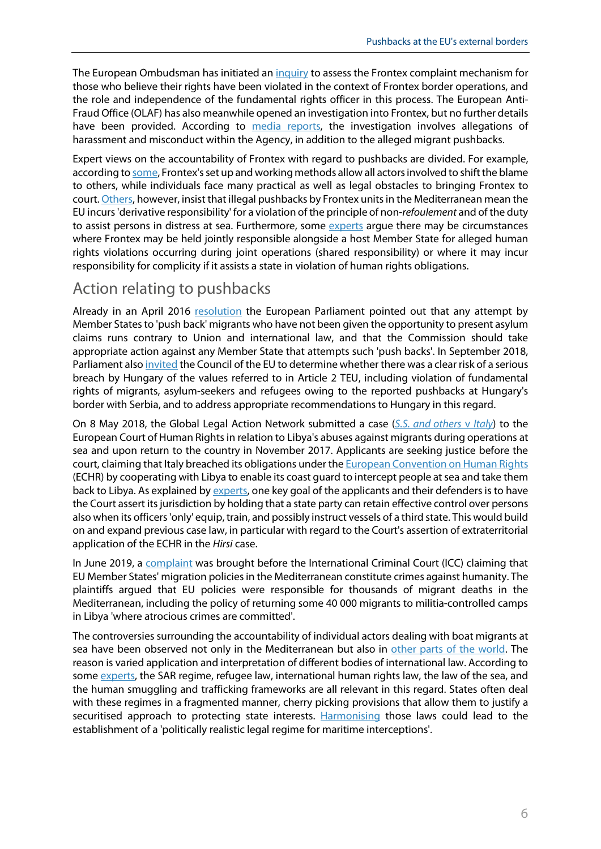The European Ombudsman has initiated an [inquiry](https://www.ombudsman.europa.eu/en/news-document/en/134739) to assess the Frontex complaint mechanism for those who believe their rights have been violated in the context of Frontex border operations, and the role and independence of the fundamental rights officer in this process. The European Anti-Fraud Office (OLAF) has also meanwhile opened an investigation into Frontex, but no further details have been provided. According to [media reports,](https://www.politico.eu/article/olaf-opens-investigation-on-frontex-for-allegations-of-pushbacks-and-misconduct/) the investigation involves allegations of harassment and misconduct within the Agency, in addition to the alleged migrant pushbacks.

Expert views on the accountability of Frontex with regard to pushbacks are divided. For example, according t[o some,](https://www.ejiltalk.org/why-it-is-so-hard-to-hold-frontex-accountable-on-blame-shifting-and-an-outdated-remedies-system/) Frontex's set up and working methods allow all actors involved to shift the blame to others, while individuals face many practical as well as legal obstacles to bringing Frontex to court[. Others,](https://voelkerrechtsblog.org/articles/a-pushback-against-international-law/) however, insist that illegal pushbacks by Frontex units in the Mediterranean mean the EU incurs 'derivative responsibility' for a violation of the principle of non-*refoulement* and of the duty to assist persons in distress at sea. Furthermore, some [experts](https://papers.ssrn.com/sol3/papers.cfm?abstract_id=2640499) argue there may be circumstances where Frontex may be held jointly responsible alongside a host Member State for alleged human rights violations occurring during joint operations (shared responsibility) or where it may incur responsibility for complicity if it assists a state in violation of human rights obligations.

## Action relating to pushbacks

Already in an April 2016 [resolution](https://www.europarl.europa.eu/doceo/document/TA-8-2016-0102_EN.html) the European Parliament pointed out that any attempt by Member States to 'push back' migrants who have not been given the opportunity to present asylum claims runs contrary to Union and international law, and that the Commission should take appropriate action against any Member State that attempts such 'push backs'. In September 2018, Parliament als[o invited](https://www.europarl.europa.eu/doceo/document/TA-8-2018-0340_EN.html) the Council of the EU to determine whether there was a clear risk of a serious breach by Hungary of the values referred to in Article 2 TEU, including violation of fundamental rights of migrants, asylum-seekers and refugees owing to the reported pushbacks at Hungary's border with Serbia, and to address appropriate recommendations to Hungary in this regard.

On 8 May 2018, the Global Legal Action Network submitted a case (*[S.S. and others](https://www.glanlaw.org/ss-case)* v *Italy*) to the European Court of Human Rights in relation to Libya's abuses against migrants during operations at sea and upon return to the country in November 2017. Applicants are seeking justice before the court, claiming that Italy breached its obligations under th[e European Convention on Human Rights](https://www.echr.coe.int/documents/convention_eng.pdf) (ECHR) by cooperating with Libya to enable its coast guard to intercept people at sea and take them back to Libya. As explained by [experts,](https://www.ejiltalk.org/high-risk-high-reward-taking-the-question-of-italys-involvement-in-libyan-pullback-policies-to-the-european-court-of-human-rights/) one key goal of the applicants and their defenders is to have the Court assert its jurisdiction by holding that a state party can retain effective control over persons also when its officers 'only' equip, train, and possibly instruct vessels of a third state. This would build on and expand previous case law, in particular with regard to the Court's assertion of extraterritorial application of the ECHR in the *Hirsi* case.

In June 2019, a [complaint](https://www.statewatch.org/media/documents/news/2019/jun/eu-icc-case-EU-Migration-Policies.pdf) was brought before the International Criminal Court (ICC) claiming that EU Member States' migration policies in the Mediterranean constitute crimes against humanity. The plaintiffs argued that EU policies were responsible for thousands of migrant deaths in the Mediterranean, including the policy of returning some 40 000 migrants to militia-controlled camps in Libya 'where atrocious crimes are committed'.

The controversies surrounding the accountability of individual actors dealing with boat migrants at sea have been observed not only in the Mediterranean but also in [other parts of the world.](https://www.ceps.eu/ceps-publications/offshoring-asylum-and-migration-australia-spain-tunisia-and-us/) The reason is varied application and interpretation of different bodies of international law. According to som[e experts,](https://www.cambridge.org/core/journals/international-and-comparative-law-quarterly/article/securitization-of-search-and-rescue-at-sea-the-response-to-boat-migration-in-the-mediterranean-and-offshore-australia/A13E77F859B6A2CB8CE8A44B34FE0DFB) the SAR regime, refugee law, international human rights law, the law of the sea, and the human smuggling and trafficking frameworks are all relevant in this regard. States often deal with these regimes in a fragmented manner, cherry picking provisions that allow them to justify a securitised approach to protecting state interests. [Harmonising](https://www.cambridge.org/core/journals/international-and-comparative-law-quarterly/article/case-for-harmonizing-laws-on-maritime-interceptions-of-irregular-migrants/DC712DBE0E764972BFDD1CC96C95F58C) those laws could lead to the establishment of a 'politically realistic legal regime for maritime interceptions'.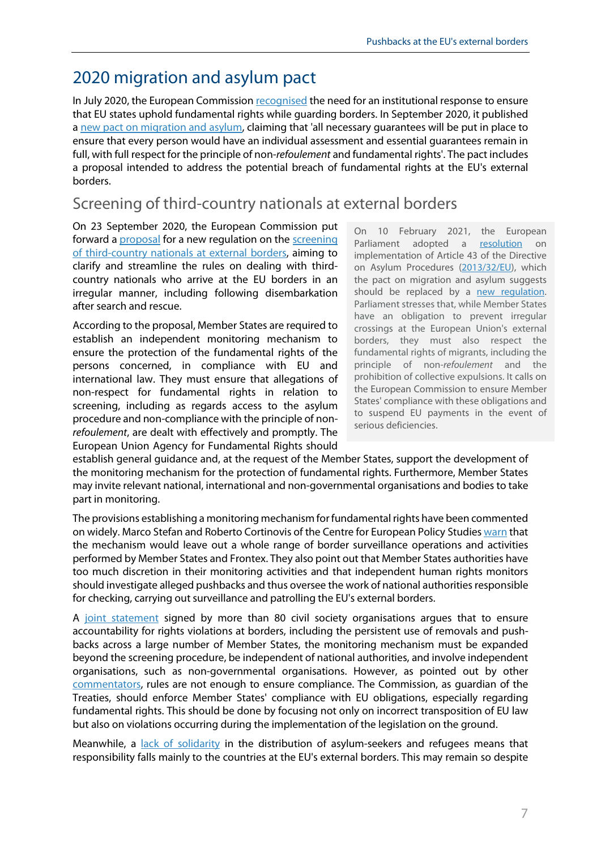# 2020 migration and asylum pact

In July 2020, the European Commissio[n recognised](https://www.europarl.europa.eu/news/en/press-room/20200703IPR82627/investigate-pushbacks-of-asylum-seekers-at-the-greek-turkish-border-meps-demand) the need for an institutional response to ensure that EU states uphold fundamental rights while guarding borders. In September 2020, it published a [new pact on migration and asylum,](https://eur-lex.europa.eu/legal-content/EN/TXT/?qid=1601287338054&uri=COM%3A2020%3A609%3AFIN) claiming that 'all necessary guarantees will be put in place to ensure that every person would have an individual assessment and essential guarantees remain in full, with full respect for the principle of non-*refoulement* and fundamental rights'. The pact includes a proposal intended to address the potential breach of fundamental rights at the EU's external borders.

## Screening of third-country nationals at external borders

On 23 September 2020, the European Commission put forward [a proposal](https://eur-lex.europa.eu/legal-content/EN/TXT/?uri=COM:2020:612:FIN) for a new regulation on the [screening](https://www.europarl.europa.eu/RegData/etudes/BRIE/2020/659346/EPRS_BRI(2020)659346_EN.pdf)  [of third-country nationals at external borders,](https://www.europarl.europa.eu/RegData/etudes/BRIE/2020/659346/EPRS_BRI(2020)659346_EN.pdf) aiming to clarify and streamline the rules on dealing with thirdcountry nationals who arrive at the EU borders in an irregular manner, including following disembarkation after search and rescue.

According to the proposal, Member States are required to establish an independent monitoring mechanism to ensure the protection of the fundamental rights of the persons concerned, in compliance with EU and international law. They must ensure that allegations of non-respect for fundamental rights in relation to screening, including as regards access to the asylum procedure and non-compliance with the principle of non*refoulement*, are dealt with effectively and promptly. The European Union Agency for Fundamental Rights should On 10 February 2021, the European Parliament adopted a [resolution](https://www.europarl.europa.eu/doceo/document/TA-9-2021-0042_EN.html) on implementation of Article 43 of the Directive on Asylum Procedures [\(2013/32/EU\)](https://eur-lex.europa.eu/legal-content/en/ALL/?uri=celex%3A32013L0032), which the pact on migration and asylum suggests should be replaced by a new requlation. Parliament stresses that, while Member States have an obligation to prevent irregular crossings at the European Union's external borders, they must also respect the fundamental rights of migrants, including the principle of non-*refoulement* and the prohibition of collective expulsions. It calls on the European Commission to ensure Member States' compliance with these obligations and to suspend EU payments in the event of serious deficiencies.

establish general guidance and, at the request of the Member States, support the development of the monitoring mechanism for the protection of fundamental rights. Furthermore, Member States may invite relevant national, international and non-governmental organisations and bodies to take part in monitoring.

The provisions establishing a monitoring mechanism for fundamental rights have been commented on widely. Marco Stefan and Roberto Cortinovis of the Centre for European Policy Studie[s warn](https://www.asileproject.eu/setting-the-right-priorities-is-the-new-pact-on-migration-and-asylum-addressing-the-issue-of-pushbacks-at-eu-external-borders/) that the mechanism would leave out a whole range of border surveillance operations and activities performed by Member States and Frontex. They also point out that Member States authorities have too much discretion in their monitoring activities and that independent human rights monitors should investigate alleged pushbacks and thus oversee the work of national authorities responsible for checking, carrying out surveillance and patrolling the EU's external borders.

A [joint statement](https://www.hrw.org/news/2020/10/08/pact-migration-and-asylum) signed by more than 80 civil society organisations argues that to ensure accountability for rights violations at borders, including the persistent use of removals and pushbacks across a large number of Member States, the monitoring mechanism must be expanded beyond the screening procedure, be independent of national authorities, and involve independent organisations, such as non-governmental organisations. However, as pointed out by other [commentators,](https://www.epc.eu/en/Publications/Pushbacks-in-the-EU-How-to-end-impunity%7E3a6efc) rules are not enough to ensure compliance. The Commission, as guardian of the Treaties, should enforce Member States' compliance with EU obligations, especially regarding fundamental rights. This should be done by focusing not only on incorrect transposition of EU law but also on violations occurring during the implementation of the legislation on the ground.

Meanwhile, a [lack of solidarity](https://www.europarl.europa.eu/RegData/etudes/BRIE/2020/649344/EPRS_BRI(2020)649344_EN.pdf) in the distribution of asylum-seekers and refugees means that responsibility falls mainly to the countries at the EU's external borders. This may remain so despite